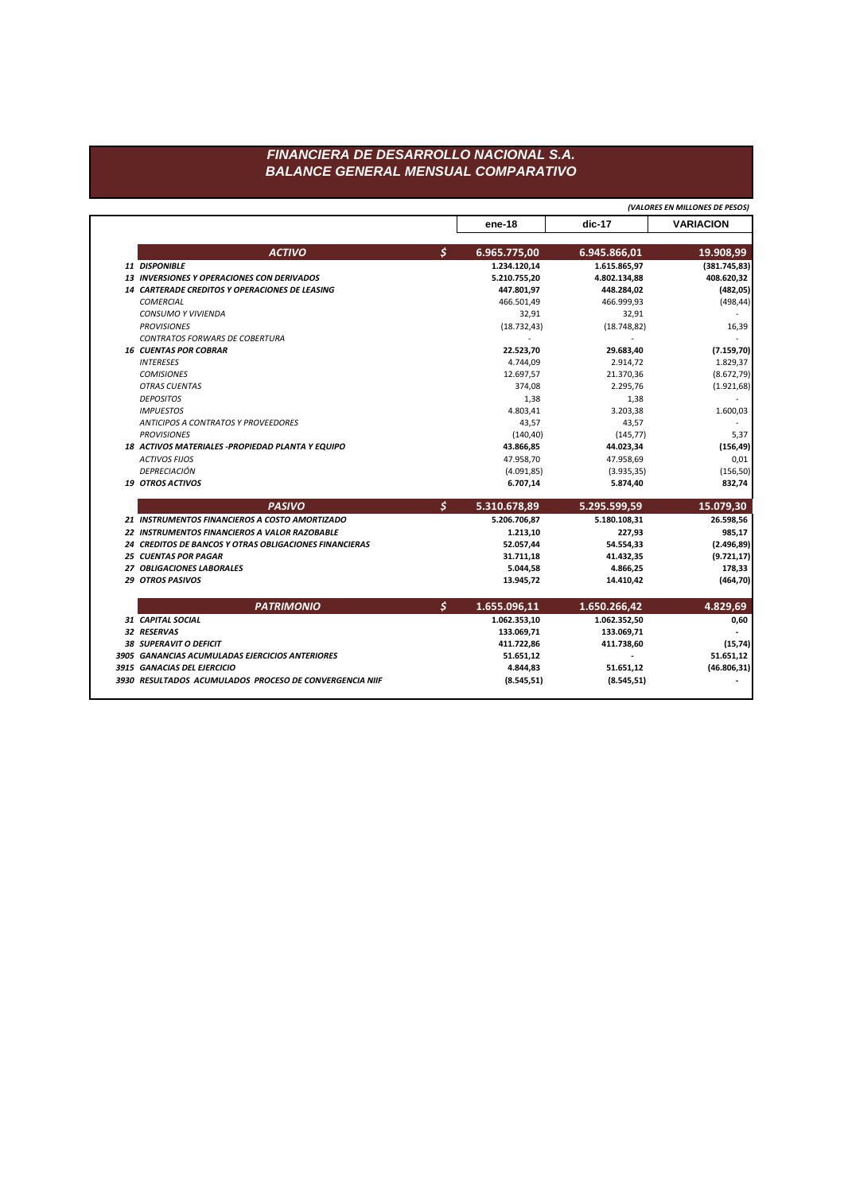## FINANCIERA DE DESARROLLO NACIONAL S.A. **BALANCE GENERAL MENSUAL COMPARATIVO**

|                               |                                                               |    |                       |              | (VALORES EN MILLONES DE PESOS) |  |
|-------------------------------|---------------------------------------------------------------|----|-----------------------|--------------|--------------------------------|--|
|                               |                                                               |    | ene-18                | dic-17       | <b>VARIACION</b>               |  |
|                               | <b>ACTIVO</b>                                                 | \$ | 6.965.775,00          | 6.945.866,01 | 19.908,99                      |  |
| 11 DISPONIBLE                 |                                                               |    | 1.234.120,14          | 1.615.865,97 | (381.745, 83)                  |  |
|                               | <b>13 INVERSIONES Y OPERACIONES CON DERIVADOS</b>             |    | 5.210.755,20          | 4.802.134,88 | 408.620,32                     |  |
|                               | <b>14 CARTERADE CREDITOS Y OPERACIONES DE LEASING</b>         |    | 447.801,97            | 448.284,02   | (482, 05)                      |  |
| <b>COMERCIAL</b>              |                                                               |    | 466.501,49            | 466.999,93   | (498, 44)                      |  |
| <b>CONSUMO Y VIVIENDA</b>     |                                                               |    | 32,91                 | 32,91        |                                |  |
| <b>PROVISIONES</b>            |                                                               |    | (18.732, 43)          | (18.748.82)  | 16,39                          |  |
|                               | <b>CONTRATOS FORWARS DE COBERTURA</b>                         |    |                       |              |                                |  |
| <b>16 CUENTAS POR COBRAR</b>  |                                                               |    | 22.523,70             | 29.683,40    | (7.159, 70)                    |  |
| <b>INTERESES</b>              |                                                               |    | 4.744,09              | 2.914,72     | 1.829,37                       |  |
| <b>COMISIONES</b>             |                                                               |    | 12.697,57             | 21.370,36    | (8.672, 79)                    |  |
| <b>OTRAS CUENTAS</b>          |                                                               |    | 374,08                | 2.295,76     | (1.921, 68)                    |  |
| <b>DEPOSITOS</b>              |                                                               |    | 1,38                  | 1,38         |                                |  |
| <b>IMPUESTOS</b>              |                                                               |    | 4.803,41              | 3.203,38     | 1.600,03                       |  |
|                               | <b>ANTICIPOS A CONTRATOS Y PROVEEDORES</b>                    |    | 43,57                 | 43,57        |                                |  |
| <b>PROVISIONES</b>            |                                                               |    | (140, 40)             | (145, 77)    | 5,37                           |  |
|                               | 18 ACTIVOS MATERIALES - PROPIEDAD PLANTA Y EQUIPO             |    | 43.866,85             | 44.023,34    | (156, 49)                      |  |
| <b>ACTIVOS FIJOS</b>          |                                                               |    | 47.958,70             | 47.958,69    | 0,01                           |  |
| DEPRECIACIÓN                  |                                                               |    | (4.091, 85)           | (3.935, 35)  | (156, 50)                      |  |
| <b>19 OTROS ACTIVOS</b>       |                                                               |    | 6.707,14              | 5.874,40     | 832,74                         |  |
|                               | <b>PASIVO</b>                                                 | Ś. | 5.310.678,89          | 5.295.599,59 | 15.079,30                      |  |
|                               | 21 INSTRUMENTOS FINANCIEROS A COSTO AMORTIZADO                |    | 5.206.706,87          | 5.180.108,31 | 26.598,56                      |  |
|                               | 22 INSTRUMENTOS FINANCIEROS A VALOR RAZOBABLE                 |    | 1.213,10              | 227,93       | 985,17                         |  |
|                               | <b>24 CREDITOS DE BANCOS Y OTRAS OBLIGACIONES FINANCIERAS</b> |    | 52.057,44             | 54.554,33    | (2.496, 89)                    |  |
| <b>25 CUENTAS POR PAGAR</b>   |                                                               |    | 31.711,18             | 41.432,35    | (9.721, 17)                    |  |
| 27 OBLIGACIONES LABORALES     |                                                               |    | 5.044,58              | 4.866,25     | 178,33                         |  |
| <b>29 OTROS PASIVOS</b>       |                                                               |    | 13.945,72             | 14.410,42    | (464, 70)                      |  |
|                               | <b>PATRIMONIO</b>                                             | \$ | 1.655.096,11          | 1.650.266,42 | 4.829,69                       |  |
| 31 CAPITAL SOCIAL             |                                                               |    | 1.062.353,10          | 1.062.352,50 | 0,60                           |  |
| 32 RESERVAS                   |                                                               |    | 133.069,71            | 133.069,71   |                                |  |
|                               |                                                               |    | 411.722,86            | 411.738,60   | (15, 74)                       |  |
| <b>38 SUPERAVIT O DEFICIT</b> |                                                               |    |                       |              |                                |  |
|                               | 3905 GANANCIAS ACUMULADAS EJERCICIOS ANTERIORES               |    |                       |              |                                |  |
| 3915 GANACIAS DEL EJERCICIO   |                                                               |    | 51.651,12<br>4.844,83 | 51.651,12    | 51.651,12<br>(46.806, 31)      |  |